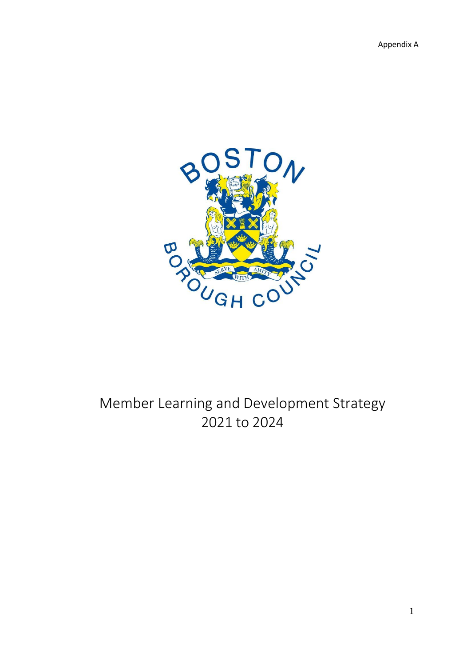

# Member Learning and Development Strategy 2021 to 2024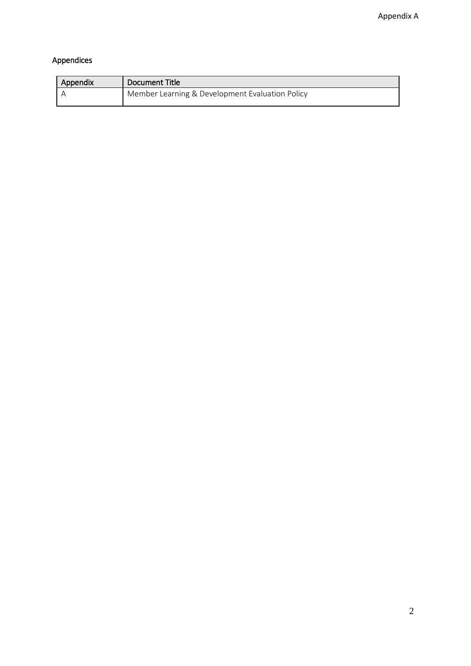# Appendices

| Appendix | Document Title                                  |
|----------|-------------------------------------------------|
|          | Member Learning & Development Evaluation Policy |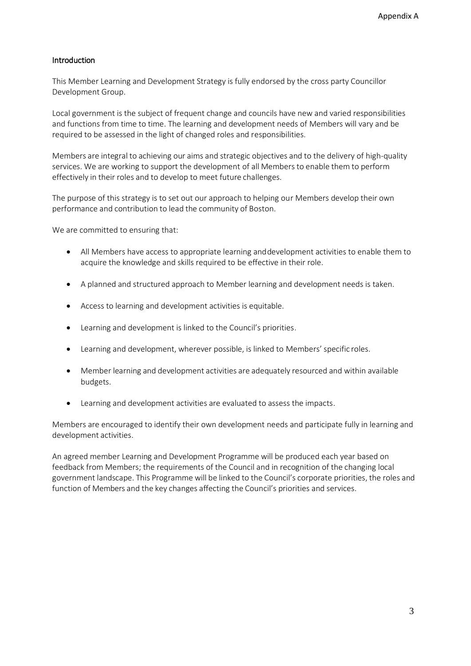# Introduction

This Member Learning and Development Strategy is fully endorsed by the cross party Councillor Development Group.

Local government is the subject of frequent change and councils have new and varied responsibilities and functions from time to time. The learning and development needs of Members will vary and be required to be assessed in the light of changed roles and responsibilities.

Members are integral to achieving our aims and strategic objectives and to the delivery of high-quality services. We are working to support the development of all Members to enable them to perform effectively in their roles and to develop to meet future challenges.

The purpose of this strategy is to set out our approach to helping our Members develop their own performance and contribution to lead the community of Boston.

We are committed to ensuring that:

- All Members have access to appropriate learning anddevelopment activities to enable them to acquire the knowledge and skills required to be effective in their role.
- A planned and structured approach to Member learning and development needs is taken.
- Access to learning and development activities is equitable.
- Learning and development is linked to the Council's priorities.
- Learning and development, wherever possible, is linked to Members' specific roles.
- Member learning and development activities are adequately resourced and within available budgets.
- Learning and development activities are evaluated to assess the impacts.

Members are encouraged to identify their own development needs and participate fully in learning and development activities.

An agreed member Learning and Development Programme will be produced each year based on feedback from Members; the requirements of the Council and in recognition of the changing local government landscape. This Programme will be linked to the Council's corporate priorities, the roles and function of Members and the key changes affecting the Council's priorities and services.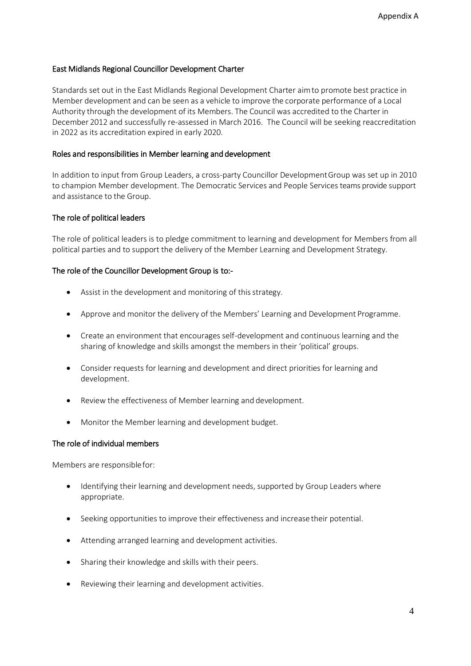# East Midlands Regional Councillor Development Charter

Standards set out in the East Midlands Regional Development Charter aimto promote best practice in Member development and can be seen as a vehicle to improve the corporate performance of a Local Authority through the development of its Members. The Council was accredited to the Charter in December 2012 and successfully re-assessed in March 2016. The Council will be seeking reaccreditation in 2022 as its accreditation expired in early 2020.

# Roles and responsibilities in Member learning and development

In addition to input from Group Leaders, a cross-party Councillor DevelopmentGroup was set up in 2010 to champion Member development. The Democratic Services and People Services teams provide support and assistance to the Group.

# The role of political leaders

The role of political leaders is to pledge commitment to learning and development for Members from all political parties and to support the delivery of the Member Learning and Development Strategy.

# The role of the Councillor Development Group is to:-

- Assist in the development and monitoring of this strategy.
- Approve and monitor the delivery of the Members' Learning and Development Programme.
- Create an environment that encourages self-development and continuous learning and the sharing of knowledge and skills amongst the members in their 'political' groups.
- Consider requests for learning and development and direct priorities for learning and development.
- Review the effectiveness of Member learning and development.
- Monitor the Member learning and development budget.

# The role of individual members

Members are responsiblefor:

- Identifying their learning and development needs, supported by Group Leaders where appropriate.
- Seeking opportunities to improve their effectiveness and increase their potential.
- Attending arranged learning and development activities.
- Sharing their knowledge and skills with their peers.
- Reviewing their learning and development activities.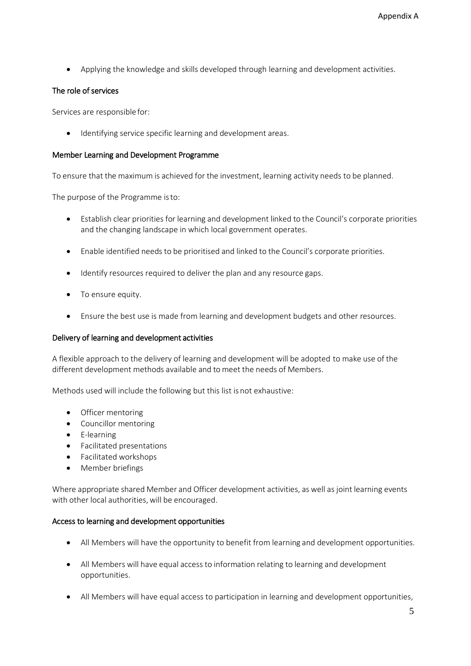Applying the knowledge and skills developed through learning and development activities.

# The role of services

Services are responsible for:

Identifying service specific learning and development areas.

#### Member Learning and Development Programme

To ensure that the maximum is achieved for the investment, learning activity needs to be planned.

The purpose of the Programme isto:

- Establish clear priorities for learning and development linked to the Council's corporate priorities and the changing landscape in which local government operates.
- Enable identified needs to be prioritised and linked to the Council's corporate priorities.
- Identify resources required to deliver the plan and any resource gaps.
- To ensure equity.
- Ensure the best use is made from learning and development budgets and other resources.

#### Delivery of learning and development activities

A flexible approach to the delivery of learning and development will be adopted to make use of the different development methods available and to meet the needs of Members.

Methods used will include the following but this list is not exhaustive:

- Officer mentoring
- Councillor mentoring
- E-learning
- Facilitated presentations
- Facilitated workshops
- Member briefings

Where appropriate shared Member and Officer development activities, as well as joint learning events with other local authorities, will be encouraged.

#### Access to learning and development opportunities

- All Members will have the opportunity to benefit from learning and development opportunities.
- All Members will have equal access to information relating to learning and development opportunities.
- All Members will have equal access to participation in learning and development opportunities,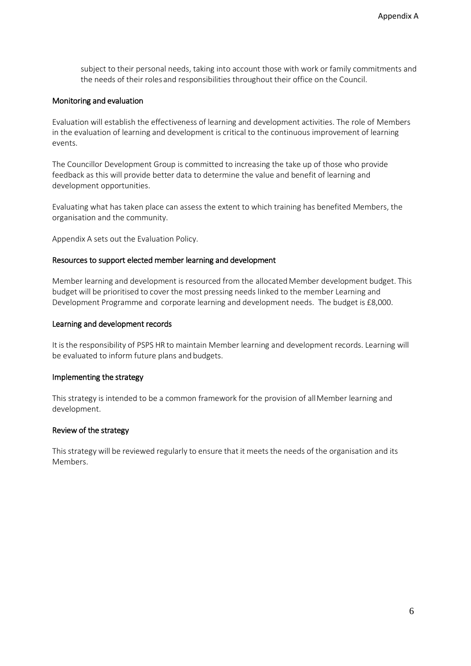subject to their personal needs, taking into account those with work or family commitments and the needs of their roles and responsibilities throughout their office on the Council.

#### Monitoring and evaluation

Evaluation will establish the effectiveness of learning and development activities. The role of Members in the evaluation of learning and development is critical to the continuous improvement of learning events.

The Councillor Development Group is committed to increasing the take up of those who provide feedback as this will provide better data to determine the value and benefit of learning and development opportunities.

Evaluating what has taken place can assess the extent to which training has benefited Members, the organisation and the community.

Appendix A sets out the Evaluation Policy.

#### Resources to support elected member learning and development

Member learning and development is resourced from the allocated Member development budget. This budget will be prioritised to cover the most pressing needs linked to the member Learning and Development Programme and corporate learning and development needs. The budget is £8,000.

#### Learning and development records

It is the responsibility of PSPS HR to maintain Member learning and development records. Learning will be evaluated to inform future plans and budgets.

#### Implementing the strategy

This strategy is intended to be a common framework for the provision of all Member learning and development.

# Review of the strategy

This strategy will be reviewed regularly to ensure that it meets the needs of the organisation and its Members.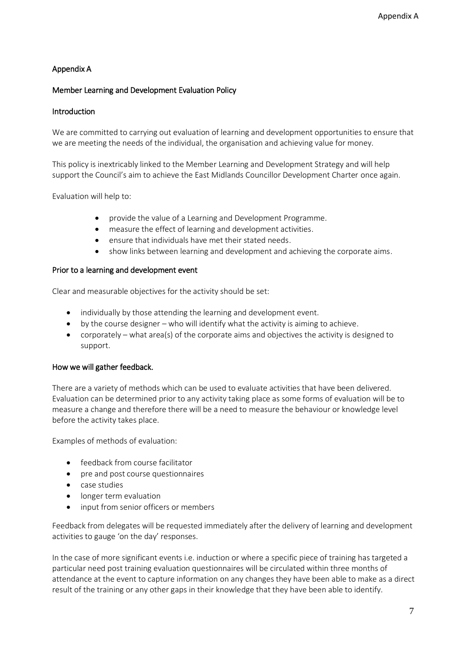# Appendix A

# Member Learning and Development Evaluation Policy

# Introduction

We are committed to carrying out evaluation of learning and development opportunities to ensure that we are meeting the needs of the individual, the organisation and achieving value for money.

This policy is inextricably linked to the Member Learning and Development Strategy and will help support the Council's aim to achieve the East Midlands Councillor Development Charter once again.

Evaluation will help to:

- provide the value of a Learning and Development Programme.
- measure the effect of learning and development activities.
- ensure that individuals have met their stated needs.
- show links between learning and development and achieving the corporate aims.

# Prior to a learning and development event

Clear and measurable objectives for the activity should be set:

- individually by those attending the learning and development event.
- by the course designer who will identify what the activity is aiming to achieve.
- corporately what area(s) of the corporate aims and objectives the activity is designed to support.

# How we will gather feedback.

There are a variety of methods which can be used to evaluate activities that have been delivered. Evaluation can be determined prior to any activity taking place as some forms of evaluation will be to measure a change and therefore there will be a need to measure the behaviour or knowledge level before the activity takes place.

Examples of methods of evaluation:

- **•** feedback from course facilitator
- pre and post course questionnaires
- case studies
- longer term evaluation
- input from senior officers or members

Feedback from delegates will be requested immediately after the delivery of learning and development activities to gauge 'on the day' responses.

In the case of more significant events i.e. induction or where a specific piece of training has targeted a particular need post training evaluation questionnaires will be circulated within three months of attendance at the event to capture information on any changes they have been able to make as a direct result of the training or any other gaps in their knowledge that they have been able to identify.